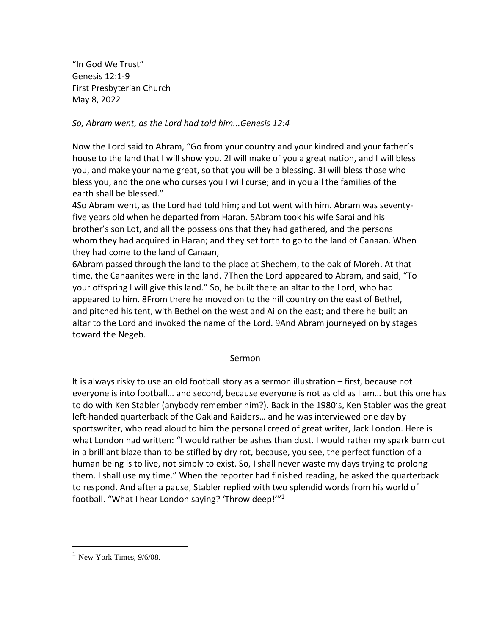"In God We Trust" Genesis 12:1-9 First Presbyterian Church May 8, 2022

## *So, Abram went, as the Lord had told him...Genesis 12:4*

Now the Lord said to Abram, "Go from your country and your kindred and your father's house to the land that I will show you. 2I will make of you a great nation, and I will bless you, and make your name great, so that you will be a blessing. 3I will bless those who bless you, and the one who curses you I will curse; and in you all the families of the earth shall be blessed."

4So Abram went, as the Lord had told him; and Lot went with him. Abram was seventyfive years old when he departed from Haran. 5Abram took his wife Sarai and his brother's son Lot, and all the possessions that they had gathered, and the persons whom they had acquired in Haran; and they set forth to go to the land of Canaan. When they had come to the land of Canaan,

6Abram passed through the land to the place at Shechem, to the oak of Moreh. At that time, the Canaanites were in the land. 7Then the Lord appeared to Abram, and said, "To your offspring I will give this land." So, he built there an altar to the Lord, who had appeared to him. 8From there he moved on to the hill country on the east of Bethel, and pitched his tent, with Bethel on the west and Ai on the east; and there he built an altar to the Lord and invoked the name of the Lord. 9And Abram journeyed on by stages toward the Negeb.

## Sermon

It is always risky to use an old football story as a sermon illustration – first, because not everyone is into football… and second, because everyone is not as old as I am… but this one has to do with Ken Stabler (anybody remember him?). Back in the 1980's, Ken Stabler was the great left-handed quarterback of the Oakland Raiders… and he was interviewed one day by sportswriter, who read aloud to him the personal creed of great writer, Jack London. Here is what London had written: "I would rather be ashes than dust. I would rather my spark burn out in a brilliant blaze than to be stifled by dry rot, because, you see, the perfect function of a human being is to live, not simply to exist. So, I shall never waste my days trying to prolong them. I shall use my time." When the reporter had finished reading, he asked the quarterback to respond. And after a pause, Stabler replied with two splendid words from his world of football. "What I hear London saying? 'Throw deep!'" 1

 $<sup>1</sup>$  New York Times,  $9/6/08$ .</sup>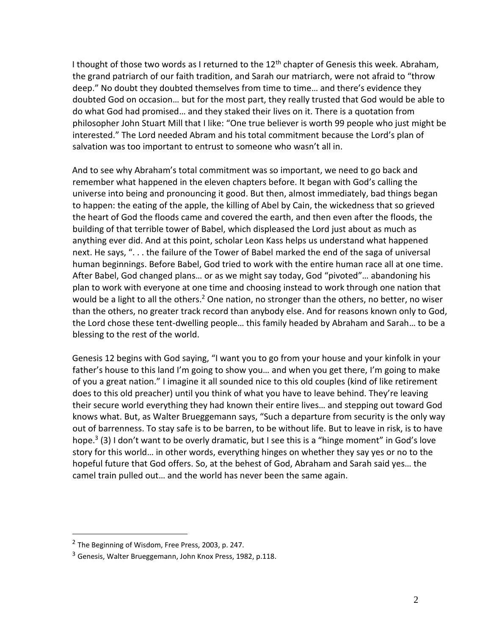I thought of those two words as I returned to the 12<sup>th</sup> chapter of Genesis this week. Abraham, the grand patriarch of our faith tradition, and Sarah our matriarch, were not afraid to "throw deep." No doubt they doubted themselves from time to time… and there's evidence they doubted God on occasion… but for the most part, they really trusted that God would be able to do what God had promised… and they staked their lives on it. There is a quotation from philosopher John Stuart Mill that I like: "One true believer is worth 99 people who just might be interested." The Lord needed Abram and his total commitment because the Lord's plan of salvation was too important to entrust to someone who wasn't all in.

And to see why Abraham's total commitment was so important, we need to go back and remember what happened in the eleven chapters before. It began with God's calling the universe into being and pronouncing it good. But then, almost immediately, bad things began to happen: the eating of the apple, the killing of Abel by Cain, the wickedness that so grieved the heart of God the floods came and covered the earth, and then even after the floods, the building of that terrible tower of Babel, which displeased the Lord just about as much as anything ever did. And at this point, scholar Leon Kass helps us understand what happened next. He says, ". . . the failure of the Tower of Babel marked the end of the saga of universal human beginnings. Before Babel, God tried to work with the entire human race all at one time. After Babel, God changed plans… or as we might say today, God "pivoted"… abandoning his plan to work with everyone at one time and choosing instead to work through one nation that would be a light to all the others.<sup>2</sup> One nation, no stronger than the others, no better, no wiser than the others, no greater track record than anybody else. And for reasons known only to God, the Lord chose these tent-dwelling people… this family headed by Abraham and Sarah… to be a blessing to the rest of the world.

Genesis 12 begins with God saying, "I want you to go from your house and your kinfolk in your father's house to this land I'm going to show you... and when you get there, I'm going to make of you a great nation." I imagine it all sounded nice to this old couples (kind of like retirement does to this old preacher) until you think of what you have to leave behind. They're leaving their secure world everything they had known their entire lives… and stepping out toward God knows what. But, as Walter Brueggemann says, "Such a departure from security is the only way out of barrenness. To stay safe is to be barren, to be without life. But to leave in risk, is to have hope.<sup>3</sup> (3) I don't want to be overly dramatic, but I see this is a "hinge moment" in God's love story for this world… in other words, everything hinges on whether they say yes or no to the hopeful future that God offers. So, at the behest of God, Abraham and Sarah said yes… the camel train pulled out… and the world has never been the same again.

<sup>&</sup>lt;sup>2</sup> The Beginning of Wisdom, Free Press, 2003, p. 247.

<sup>&</sup>lt;sup>3</sup> Genesis, Walter Brueggemann, John Knox Press, 1982, p.118.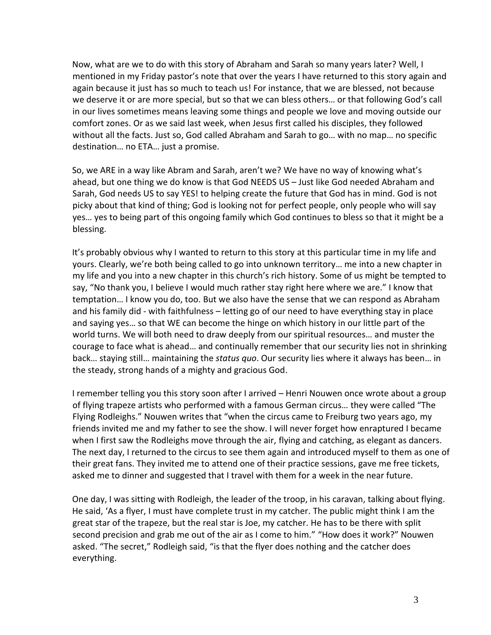Now, what are we to do with this story of Abraham and Sarah so many years later? Well, I mentioned in my Friday pastor's note that over the years I have returned to this story again and again because it just has so much to teach us! For instance, that we are blessed, not because we deserve it or are more special, but so that we can bless others… or that following God's call in our lives sometimes means leaving some things and people we love and moving outside our comfort zones. Or as we said last week, when Jesus first called his disciples, they followed without all the facts. Just so, God called Abraham and Sarah to go… with no map… no specific destination… no ETA… just a promise.

So, we ARE in a way like Abram and Sarah, aren't we? We have no way of knowing what's ahead, but one thing we do know is that God NEEDS US – Just like God needed Abraham and Sarah, God needs US to say YES! to helping create the future that God has in mind. God is not picky about that kind of thing; God is looking not for perfect people, only people who will say yes… yes to being part of this ongoing family which God continues to bless so that it might be a blessing.

It's probably obvious why I wanted to return to this story at this particular time in my life and yours. Clearly, we're both being called to go into unknown territory… me into a new chapter in my life and you into a new chapter in this church's rich history. Some of us might be tempted to say, "No thank you, I believe I would much rather stay right here where we are." I know that temptation… I know you do, too. But we also have the sense that we can respond as Abraham and his family did - with faithfulness – letting go of our need to have everything stay in place and saying yes… so that WE can become the hinge on which history in our little part of the world turns. We will both need to draw deeply from our spiritual resources… and muster the courage to face what is ahead… and continually remember that our security lies not in shrinking back… staying still… maintaining the *status quo*. Our security lies where it always has been… in the steady, strong hands of a mighty and gracious God.

I remember telling you this story soon after I arrived – Henri Nouwen once wrote about a group of flying trapeze artists who performed with a famous German circus… they were called "The Flying Rodleighs." Nouwen writes that "when the circus came to Freiburg two years ago, my friends invited me and my father to see the show. I will never forget how enraptured I became when I first saw the Rodleighs move through the air, flying and catching, as elegant as dancers. The next day, I returned to the circus to see them again and introduced myself to them as one of their great fans. They invited me to attend one of their practice sessions, gave me free tickets, asked me to dinner and suggested that I travel with them for a week in the near future.

One day, I was sitting with Rodleigh, the leader of the troop, in his caravan, talking about flying. He said, 'As a flyer, I must have complete trust in my catcher. The public might think I am the great star of the trapeze, but the real star is Joe, my catcher. He has to be there with split second precision and grab me out of the air as I come to him." "How does it work?" Nouwen asked. "The secret," Rodleigh said, "is that the flyer does nothing and the catcher does everything.